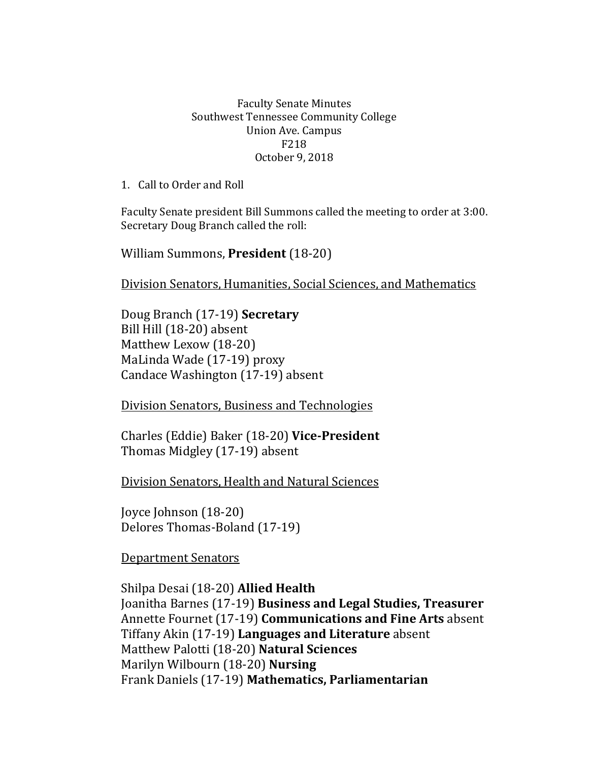## Faculty Senate Minutes Southwest Tennessee Community College Union Ave. Campus F218 October 9, 2018

1. Call to Order and Roll

Faculty Senate president Bill Summons called the meeting to order at 3:00. Secretary Doug Branch called the roll:

William Summons, **President** (18-20)

Division Senators, Humanities, Social Sciences, and Mathematics

Doug Branch (17-19) **Secretary** Bill Hill (18-20) absent Matthew Lexow (18-20) MaLinda Wade (17-19) proxy Candace Washington (17-19) absent

Division Senators, Business and Technologies

Charles (Eddie) Baker (18-20) **Vice-President** Thomas Midgley (17-19) absent

Division Senators, Health and Natural Sciences

Joyce Johnson (18-20) Delores Thomas-Boland (17-19)

Department Senators

Shilpa Desai (18-20) **Allied Health** Joanitha Barnes (17-19) **Business and Legal Studies, Treasurer** Annette Fournet (17-19) **Communications and Fine Arts** absent Tiffany Akin (17-19) **Languages and Literature** absent Matthew Palotti (18-20) **Natural Sciences** Marilyn Wilbourn (18-20) **Nursing** Frank Daniels (17-19) **Mathematics, Parliamentarian**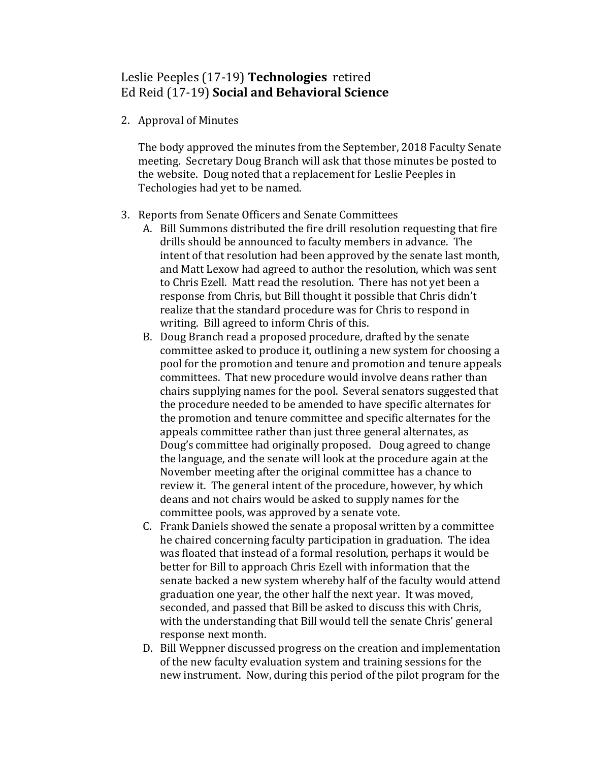## Leslie Peeples (17-19) **Technologies** retired Ed Reid (17-19) **Social and Behavioral Science**

2. Approval of Minutes

The body approved the minutes from the September, 2018 Faculty Senate meeting. Secretary Doug Branch will ask that those minutes be posted to the website. Doug noted that a replacement for Leslie Peeples in Techologies had yet to be named.

- 3. Reports from Senate Officers and Senate Committees
	- A. Bill Summons distributed the fire drill resolution requesting that fire drills should be announced to faculty members in advance. The intent of that resolution had been approved by the senate last month, and Matt Lexow had agreed to author the resolution, which was sent to Chris Ezell. Matt read the resolution. There has not yet been a response from Chris, but Bill thought it possible that Chris didn't realize that the standard procedure was for Chris to respond in writing. Bill agreed to inform Chris of this.
	- B. Doug Branch read a proposed procedure, drafted by the senate committee asked to produce it, outlining a new system for choosing a pool for the promotion and tenure and promotion and tenure appeals committees. That new procedure would involve deans rather than chairs supplying names for the pool. Several senators suggested that the procedure needed to be amended to have specific alternates for the promotion and tenure committee and specific alternates for the appeals committee rather than just three general alternates, as Doug's committee had originally proposed. Doug agreed to change the language, and the senate will look at the procedure again at the November meeting after the original committee has a chance to review it. The general intent of the procedure, however, by which deans and not chairs would be asked to supply names for the committee pools, was approved by a senate vote.
	- C. Frank Daniels showed the senate a proposal written by a committee he chaired concerning faculty participation in graduation. The idea was floated that instead of a formal resolution, perhaps it would be better for Bill to approach Chris Ezell with information that the senate backed a new system whereby half of the faculty would attend graduation one year, the other half the next year. It was moved, seconded, and passed that Bill be asked to discuss this with Chris, with the understanding that Bill would tell the senate Chris' general response next month.
	- D. Bill Weppner discussed progress on the creation and implementation of the new faculty evaluation system and training sessions for the new instrument. Now, during this period of the pilot program for the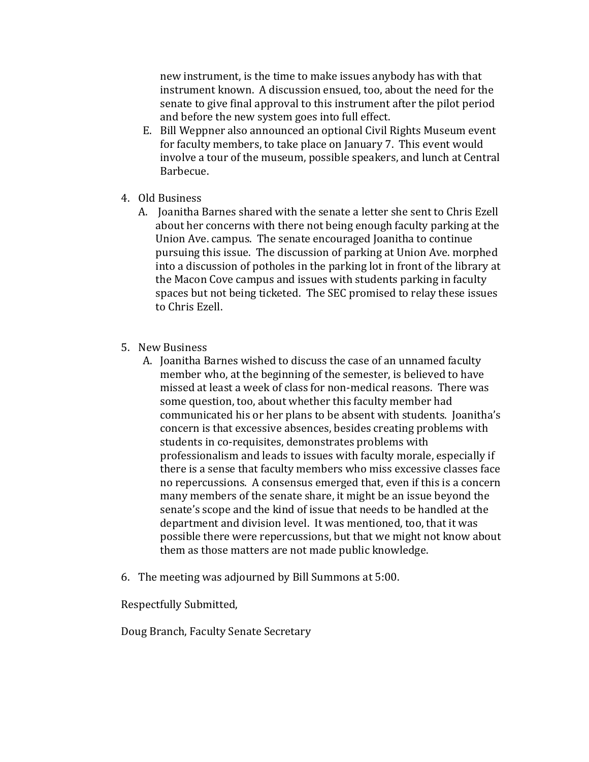new instrument, is the time to make issues anybody has with that instrument known. A discussion ensued, too, about the need for the senate to give final approval to this instrument after the pilot period and before the new system goes into full effect.

- E. Bill Weppner also announced an optional Civil Rights Museum event for faculty members, to take place on January 7. This event would involve a tour of the museum, possible speakers, and lunch at Central Barbecue.
- 4. Old Business
	- A. Joanitha Barnes shared with the senate a letter she sent to Chris Ezell about her concerns with there not being enough faculty parking at the Union Ave. campus. The senate encouraged Joanitha to continue pursuing this issue. The discussion of parking at Union Ave. morphed into a discussion of potholes in the parking lot in front of the library at the Macon Cove campus and issues with students parking in faculty spaces but not being ticketed. The SEC promised to relay these issues to Chris Ezell.
- 5. New Business
	- A. Joanitha Barnes wished to discuss the case of an unnamed faculty member who, at the beginning of the semester, is believed to have missed at least a week of class for non-medical reasons. There was some question, too, about whether this faculty member had communicated his or her plans to be absent with students. Joanitha's concern is that excessive absences, besides creating problems with students in co-requisites, demonstrates problems with professionalism and leads to issues with faculty morale, especially if there is a sense that faculty members who miss excessive classes face no repercussions. A consensus emerged that, even if this is a concern many members of the senate share, it might be an issue beyond the senate's scope and the kind of issue that needs to be handled at the department and division level. It was mentioned, too, that it was possible there were repercussions, but that we might not know about them as those matters are not made public knowledge.
- 6. The meeting was adjourned by Bill Summons at 5:00.

Respectfully Submitted,

Doug Branch, Faculty Senate Secretary